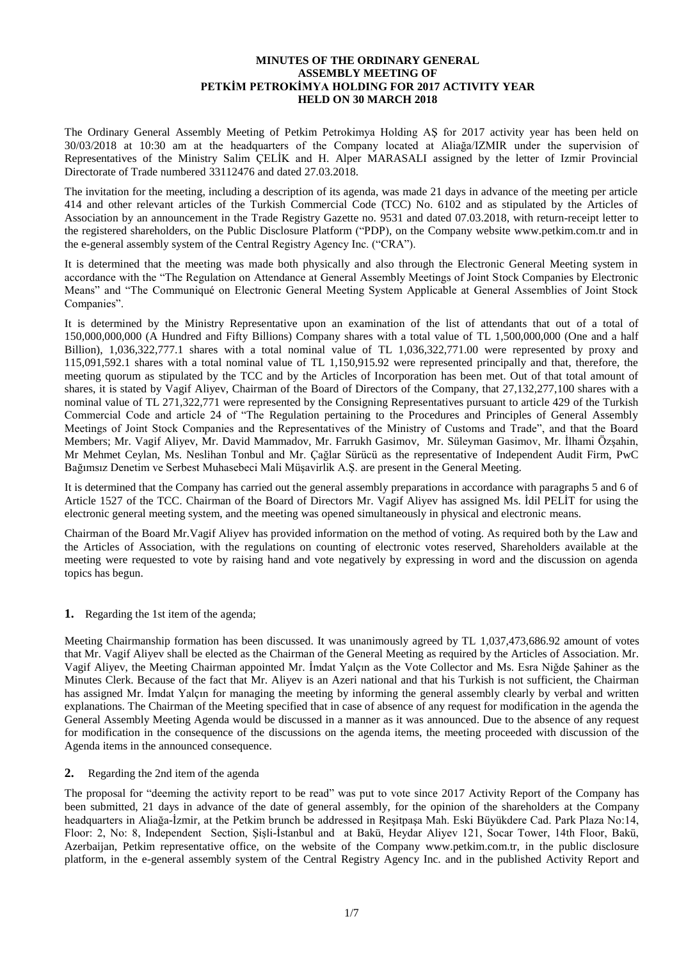## **MINUTES OF THE ORDINARY GENERAL ASSEMBLY MEETING OF PETKİM PETROKİMYA HOLDING FOR 2017 ACTIVITY YEAR HELD ON 30 MARCH 2018**

The Ordinary General Assembly Meeting of Petkim Petrokimya Holding AŞ for 2017 activity year has been held on 30/03/2018 at 10:30 am at the headquarters of the Company located at Aliağa/IZMIR under the supervision of Representatives of the Ministry Salim ÇELİK and H. Alper MARASALI assigned by the letter of Izmir Provincial Directorate of Trade numbered 33112476 and dated 27.03.2018.

The invitation for the meeting, including a description of its agenda, was made 21 days in advance of the meeting per article 414 and other relevant articles of the Turkish Commercial Code (TCC) No. 6102 and as stipulated by the Articles of Association by an announcement in the Trade Registry Gazette no. 9531 and dated 07.03.2018, with return-receipt letter to the registered shareholders, on the Public Disclosure Platform ("PDP), on the Company website www.petkim.com.tr and in the e-general assembly system of the Central Registry Agency Inc. ("CRA").

It is determined that the meeting was made both physically and also through the Electronic General Meeting system in accordance with the "The Regulation on Attendance at General Assembly Meetings of Joint Stock Companies by Electronic Means" and "The Communiqué on Electronic General Meeting System Applicable at General Assemblies of Joint Stock Companies".

It is determined by the Ministry Representative upon an examination of the list of attendants that out of a total of 150,000,000,000 (A Hundred and Fifty Billions) Company shares with a total value of TL 1,500,000,000 (One and a half Billion), 1,036,322,777.1 shares with a total nominal value of TL 1,036,322,771.00 were represented by proxy and 115,091,592.1 shares with a total nominal value of TL 1,150,915.92 were represented principally and that, therefore, the meeting quorum as stipulated by the TCC and by the Articles of Incorporation has been met. Out of that total amount of shares, it is stated by Vagif Aliyev, Chairman of the Board of Directors of the Company, that 27,132,277,100 shares with a nominal value of TL 271,322,771 were represented by the Consigning Representatives pursuant to article 429 of the Turkish Commercial Code and article 24 of "The Regulation pertaining to the Procedures and Principles of General Assembly Meetings of Joint Stock Companies and the Representatives of the Ministry of Customs and Trade", and that the Board Members; Mr. Vagif Aliyev, Mr. David Mammadov, Mr. Farrukh Gasimov, Mr. Süleyman Gasimov, Mr. İlhami Özşahin, Mr Mehmet Ceylan, Ms. Neslihan Tonbul and Mr. Çağlar Sürücü as the representative of Independent Audit Firm, PwC Bağımsız Denetim ve Serbest Muhasebeci Mali Müşavirlik A.Ş. are present in the General Meeting.

It is determined that the Company has carried out the general assembly preparations in accordance with paragraphs 5 and 6 of Article 1527 of the TCC. Chairman of the Board of Directors Mr. Vagif Aliyev has assigned Ms. İdil PELİT for using the electronic general meeting system, and the meeting was opened simultaneously in physical and electronic means.

Chairman of the Board Mr.Vagif Aliyev has provided information on the method of voting. As required both by the Law and the Articles of Association, with the regulations on counting of electronic votes reserved, Shareholders available at the meeting were requested to vote by raising hand and vote negatively by expressing in word and the discussion on agenda topics has begun.

**1.** Regarding the 1st item of the agenda;

Meeting Chairmanship formation has been discussed. It was unanimously agreed by TL 1,037,473,686.92 amount of votes that Mr. Vagif Aliyev shall be elected as the Chairman of the General Meeting as required by the Articles of Association. Mr. Vagif Aliyev, the Meeting Chairman appointed Mr. İmdat Yalçın as the Vote Collector and Ms. Esra Niğde Şahiner as the Minutes Clerk. Because of the fact that Mr. Aliyev is an Azeri national and that his Turkish is not sufficient, the Chairman has assigned Mr. İmdat Yalçın for managing the meeting by informing the general assembly clearly by verbal and written explanations. The Chairman of the Meeting specified that in case of absence of any request for modification in the agenda the General Assembly Meeting Agenda would be discussed in a manner as it was announced. Due to the absence of any request for modification in the consequence of the discussions on the agenda items, the meeting proceeded with discussion of the Agenda items in the announced consequence.

**2.** Regarding the 2nd item of the agenda

The proposal for "deeming the activity report to be read" was put to vote since 2017 Activity Report of the Company has been submitted, 21 days in advance of the date of general assembly, for the opinion of the shareholders at the Company headquarters in Aliağa-İzmir, at the Petkim brunch be addressed in Reşitpaşa Mah. Eski Büyükdere Cad. Park Plaza No:14, Floor: 2, No: 8, Independent Section, Şişli-İstanbul and at Bakü, Heydar Aliyev 121, Socar Tower, 14th Floor, Bakü, Azerbaijan, Petkim representative office, on the website of the Company www.petkim.com.tr, in the public disclosure platform, in the e-general assembly system of the Central Registry Agency Inc. and in the published Activity Report and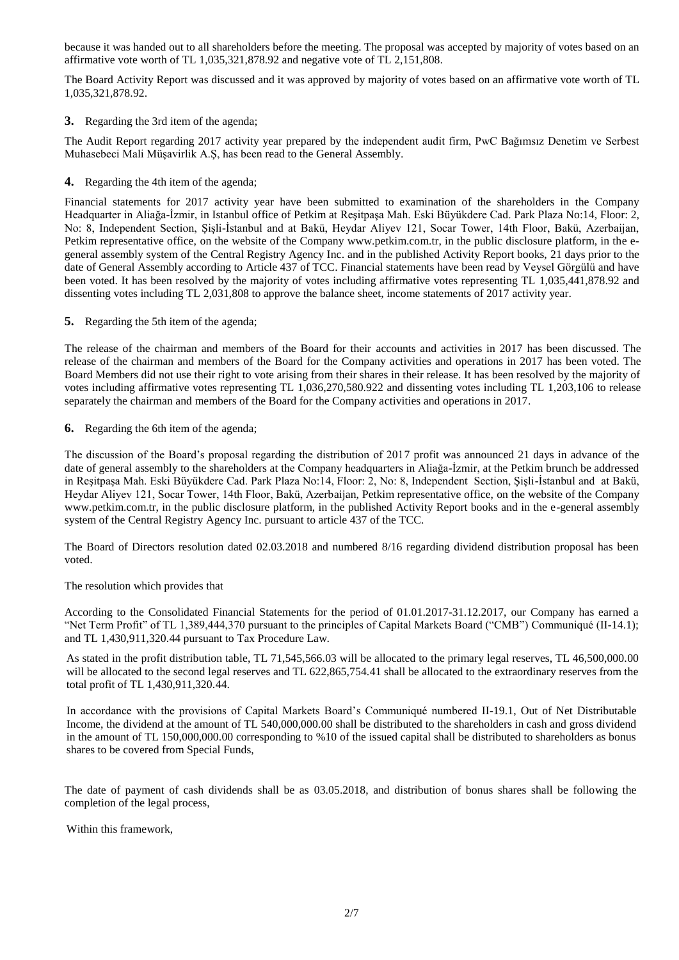because it was handed out to all shareholders before the meeting. The proposal was accepted by majority of votes based on an affirmative vote worth of TL 1,035,321,878.92 and negative vote of TL 2,151,808.

The Board Activity Report was discussed and it was approved by majority of votes based on an affirmative vote worth of TL 1,035,321,878.92.

**3.** Regarding the 3rd item of the agenda;

The Audit Report regarding 2017 activity year prepared by the independent audit firm, PwC Bağımsız Denetim ve Serbest Muhasebeci Mali Müşavirlik A.Ş, has been read to the General Assembly.

**4.** Regarding the 4th item of the agenda;

Financial statements for 2017 activity year have been submitted to examination of the shareholders in the Company Headquarter in Aliağa-İzmir, in Istanbul office of Petkim at Reşitpaşa Mah. Eski Büyükdere Cad. Park Plaza No:14, Floor: 2, No: 8, Independent Section, Şişli-İstanbul and at Bakü, Heydar Aliyev 121, Socar Tower, 14th Floor, Bakü, Azerbaijan, Petkim representative office, on the website of the Company www.petkim.com.tr, in the public disclosure platform, in the egeneral assembly system of the Central Registry Agency Inc. and in the published Activity Report books, 21 days prior to the date of General Assembly according to Article 437 of TCC. Financial statements have been read by Veysel Görgülü and have been voted. It has been resolved by the majority of votes including affirmative votes representing TL 1,035,441,878.92 and dissenting votes including TL 2,031,808 to approve the balance sheet, income statements of 2017 activity year.

**5.** Regarding the 5th item of the agenda;

The release of the chairman and members of the Board for their accounts and activities in 2017 has been discussed. The release of the chairman and members of the Board for the Company activities and operations in 2017 has been voted. The Board Members did not use their right to vote arising from their shares in their release. It has been resolved by the majority of votes including affirmative votes representing TL 1,036,270,580.922 and dissenting votes including TL 1,203,106 to release separately the chairman and members of the Board for the Company activities and operations in 2017.

**6.** Regarding the 6th item of the agenda;

The discussion of the Board's proposal regarding the distribution of 2017 profit was announced 21 days in advance of the date of general assembly to the shareholders at the Company headquarters in Aliağa-İzmir, at the Petkim brunch be addressed in Reşitpaşa Mah. Eski Büyükdere Cad. Park Plaza No:14, Floor: 2, No: 8, Independent Section, Şişli-İstanbul and at Bakü, Heydar Aliyev 121, Socar Tower, 14th Floor, Bakü, Azerbaijan, Petkim representative office, on the website of the Company www.petkim.com.tr, in the public disclosure platform, in the published Activity Report books and in the e-general assembly system of the Central Registry Agency Inc. pursuant to article 437 of the TCC.

The Board of Directors resolution dated 02.03.2018 and numbered 8/16 regarding dividend distribution proposal has been voted.

The resolution which provides that

According to the Consolidated Financial Statements for the period of 01.01.2017-31.12.2017, our Company has earned a "Net Term Profit" of TL 1,389,444,370 pursuant to the principles of Capital Markets Board ("CMB") Communiqué (II-14.1); and TL 1,430,911,320.44 pursuant to Tax Procedure Law.

As stated in the profit distribution table, TL 71,545,566.03 will be allocated to the primary legal reserves, TL 46,500,000.00 will be allocated to the second legal reserves and TL 622,865,754.41 shall be allocated to the extraordinary reserves from the total profit of TL 1,430,911,320.44.

In accordance with the provisions of Capital Markets Board's Communiqué numbered II-19.1, Out of Net Distributable Income, the dividend at the amount of TL 540,000,000.00 shall be distributed to the shareholders in cash and gross dividend in the amount of TL 150,000,000.00 corresponding to %10 of the issued capital shall be distributed to shareholders as bonus shares to be covered from Special Funds,

The date of payment of cash dividends shall be as 03.05.2018, and distribution of bonus shares shall be following the completion of the legal process,

Within this framework,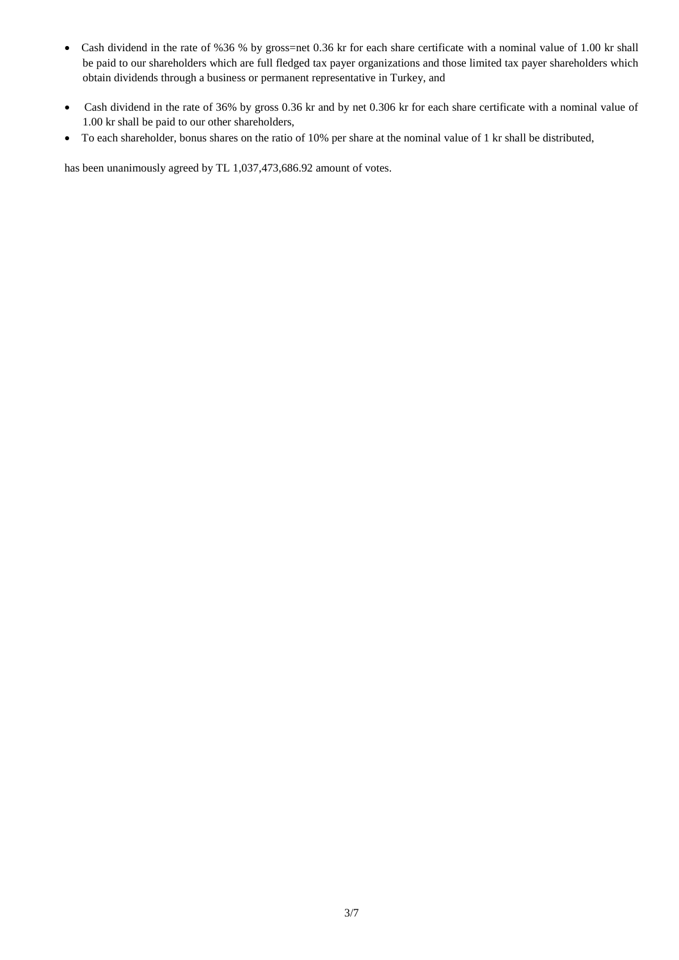- Cash dividend in the rate of %36 % by gross=net 0.36 kr for each share certificate with a nominal value of 1.00 kr shall be paid to our shareholders which are full fledged tax payer organizations and those limited tax payer shareholders which obtain dividends through a business or permanent representative in Turkey, and
- Cash dividend in the rate of 36% by gross 0.36 kr and by net 0.306 kr for each share certificate with a nominal value of 1.00 kr shall be paid to our other shareholders,
- To each shareholder, bonus shares on the ratio of 10% per share at the nominal value of 1 kr shall be distributed,

has been unanimously agreed by TL 1,037,473,686.92 amount of votes.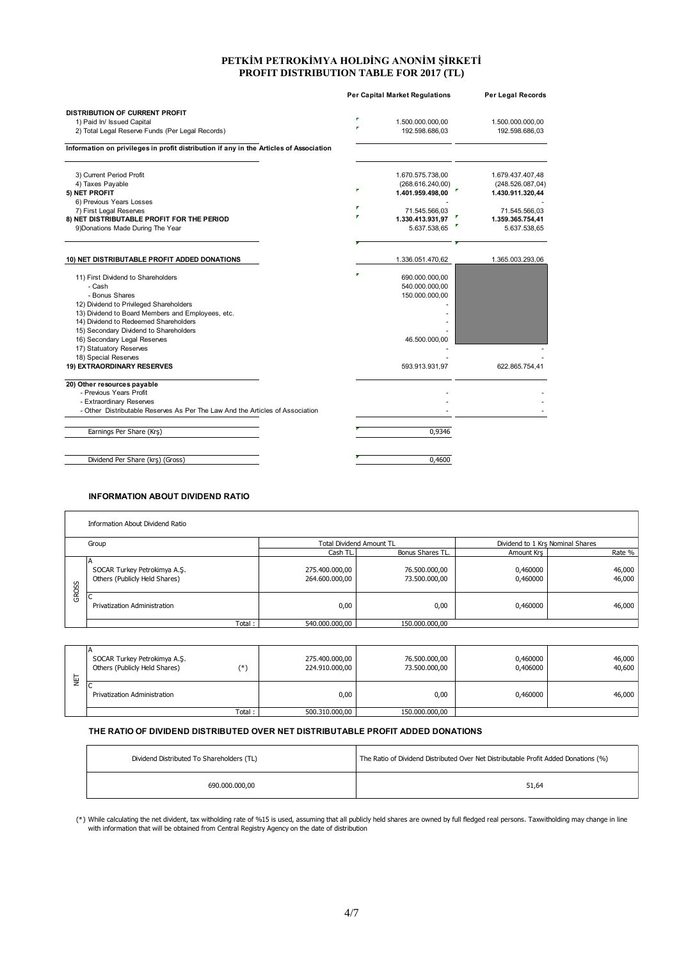### **PETKİM PETROKİMYA HOLDİNG ANONİM ŞİRKETİ PROFIT DISTRIBUTION TABLE FOR 2017 (TL)**

|                                                                                        | <b>Per Capital Market Regulations</b>        | Per Legal Records                    |
|----------------------------------------------------------------------------------------|----------------------------------------------|--------------------------------------|
| <b>DISTRIBUTION OF CURRENT PROFIT</b>                                                  |                                              |                                      |
| 1) Paid In/ Issued Capital                                                             | г<br>1.500.000.000,00                        | 1.500.000.000,00                     |
| 2) Total Legal Reserve Funds (Per Legal Records)                                       | 192.598.686,03                               | 192.598.686,03                       |
| Information on privileges in profit distribution if any in the Articles of Association |                                              |                                      |
| 3) Current Period Profit                                                               | 1.670.575.738,00                             | 1.679.437.407,48                     |
| 4) Taxes Payable<br>5) NET PROFIT                                                      | (268.616.240,00)<br>P.<br>1.401.959.498,00   | (248.526.087,04)<br>1.430.911.320,44 |
| 6) Previous Years Losses                                                               |                                              |                                      |
| 7) First Legal Reserves                                                                | n.<br>71.545.566.03                          | 71.545.566.03                        |
| 8) NET DISTRIBUTABLE PROFIT FOR THE PERIOD                                             | r<br>1.330.413.931,97                        | 1.359.365.754,41                     |
| 9) Donations Made During The Year                                                      | 5.637.538,65                                 | 5.637.538,65                         |
|                                                                                        |                                              |                                      |
| 10) NET DISTRIBUTABLE PROFIT ADDED DONATIONS                                           | 1.336.051.470,62                             | 1.365.003.293,06                     |
| 11) First Dividend to Shareholders<br>- Cash<br>- Bonus Shares                         | <b>F</b><br>690.000.000,00<br>540.000.000,00 |                                      |
| 12) Dividend to Privileged Shareholders                                                | 150.000.000,00                               |                                      |
| 13) Dividend to Board Members and Employees, etc.                                      |                                              |                                      |
| 14) Dividend to Redeemed Shareholders                                                  |                                              |                                      |
| 15) Secondary Dividend to Shareholders                                                 |                                              |                                      |
| 16) Secondary Legal Reserves                                                           | 46.500.000,00                                |                                      |
| 17) Statuatory Reserves                                                                |                                              |                                      |
| 18) Special Reserves                                                                   |                                              |                                      |
| 19) EXTRAORDINARY RESERVES                                                             | 593.913.931,97                               | 622.865.754,41                       |
| 20) Other resources payable                                                            |                                              |                                      |
| - Previous Years Profit                                                                |                                              |                                      |
| - Extraordinary Reserves                                                               |                                              |                                      |
| - Other Distributable Reserves As Per The Law And the Articles of Association          |                                              |                                      |
| Earnings Per Share (Krş)                                                               | 0.9346                                       |                                      |
| Dividend Per Share (krş) (Gross)                                                       | 0.4600                                       |                                      |
|                                                                                        |                                              |                                      |

### **INFORMATION ABOUT DIVIDEND RATIO**

| Information About Dividend Ratio |                                                               |                                  |                                |                                  |                  |
|----------------------------------|---------------------------------------------------------------|----------------------------------|--------------------------------|----------------------------------|------------------|
| Group                            |                                                               | <b>Total Dividend Amount TL</b>  |                                | Dividend to 1 Krs Nominal Shares |                  |
|                                  |                                                               | Cash TL.                         | Bonus Shares TL.               | Amount Krs                       | Rate %           |
| GROSS                            | SOCAR Turkey Petrokimya A.Ş.<br>Others (Publicly Held Shares) | 275.400.000,00<br>264.600.000,00 | 76.500.000,00<br>73.500.000,00 | 0,460000<br>0,460000             | 46,000<br>46,000 |
|                                  | י<br>Privatization Administration                             | 0,00                             | 0,00                           | 0,460000                         | 46,000           |
|                                  | Total:                                                        | 540.000.000,00                   | 150.000.000,00                 |                                  |                  |

| GROSS                                                                           | Privatization Administration                                                                                                                                                                | 0,00                             | 0,00                                                                                | 0,460000             | 46,000           |
|---------------------------------------------------------------------------------|---------------------------------------------------------------------------------------------------------------------------------------------------------------------------------------------|----------------------------------|-------------------------------------------------------------------------------------|----------------------|------------------|
|                                                                                 | Total:                                                                                                                                                                                      | 540.000.000,00                   | 150.000.000,00                                                                      |                      |                  |
|                                                                                 |                                                                                                                                                                                             |                                  |                                                                                     |                      |                  |
| ψ                                                                               | ΙA<br>SOCAR Turkey Petrokimya A.Ş.<br>Others (Publicly Held Shares)<br>$(*)$                                                                                                                | 275.400.000,00<br>224.910.000,00 | 76.500.000,00<br>73.500.000,00                                                      | 0,460000<br>0,406000 | 46,000<br>40,600 |
|                                                                                 | Privatization Administration                                                                                                                                                                | 0,00                             | 0,00                                                                                | 0,460000             | 46,000           |
|                                                                                 | Total:                                                                                                                                                                                      | 500.310.000,00                   | 150.000.000,00                                                                      |                      |                  |
| THE RATIO OF DIVIDEND DISTRIBUTED OVER NET DISTRIBUTABLE PROFIT ADDED DONATIONS |                                                                                                                                                                                             |                                  |                                                                                     |                      |                  |
|                                                                                 | Dividend Distributed To Shareholders (TL)                                                                                                                                                   |                                  | The Ratio of Dividend Distributed Over Net Distributable Profit Added Donations (%) |                      |                  |
|                                                                                 | 690.000.000,00                                                                                                                                                                              |                                  |                                                                                     | 51,64                |                  |
|                                                                                 | (*) While calculating the net divident, tax witholding rate of %15 is used, assuming that all publicly held shares are owned by full fledged real persons. Taxwitholding may change in line |                                  |                                                                                     |                      |                  |

### **THE RATIO OF DIVIDEND DISTRIBUTED OVER NET DISTRIBUTABLE PROFIT ADDED DONATIONS**

| Dividend Distributed To Shareholders (TL) | The Ratio of Dividend Distributed Over Net Distributable Profit Added Donations (%) |
|-------------------------------------------|-------------------------------------------------------------------------------------|
| 690.000.000.00                            | 51,64                                                                               |

While calculating the net divident, tax witholding rate of %15 is used, assuming that all publicly held shares are owned by full fledged real persons. Taxwitholding may change in line<br>with information that will be obtained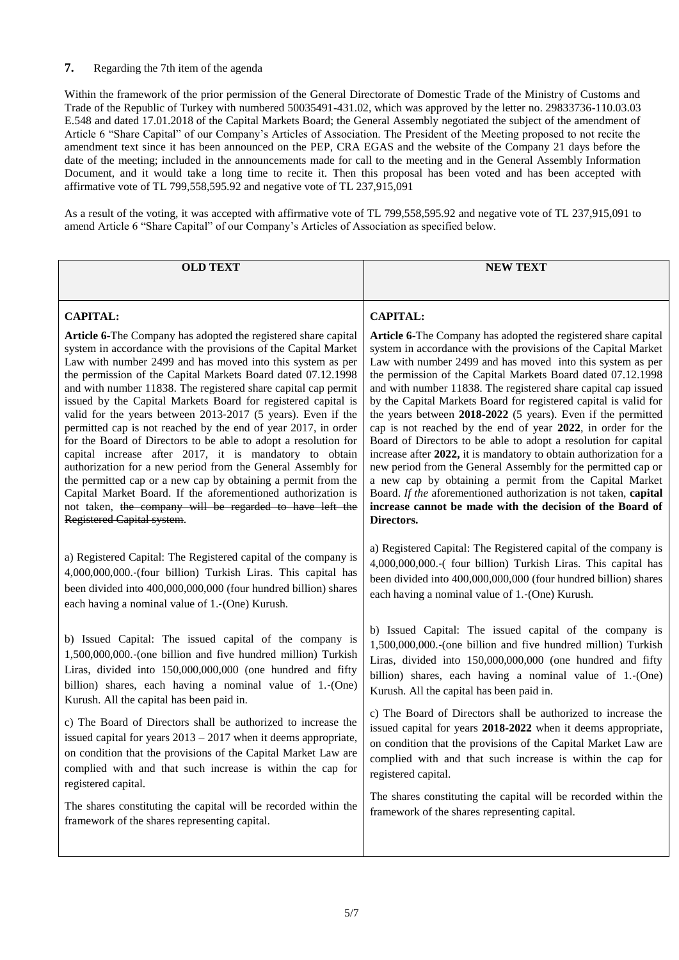# **7.** Regarding the 7th item of the agenda

Within the framework of the prior permission of the General Directorate of Domestic Trade of the Ministry of Customs and Trade of the Republic of Turkey with numbered 50035491-431.02, which was approved by the letter no. 29833736-110.03.03 E.548 and dated 17.01.2018 of the Capital Markets Board; the General Assembly negotiated the subject of the amendment of Article 6 "Share Capital" of our Company's Articles of Association. The President of the Meeting proposed to not recite the amendment text since it has been announced on the PEP, CRA EGAS and the website of the Company 21 days before the date of the meeting; included in the announcements made for call to the meeting and in the General Assembly Information Document, and it would take a long time to recite it. Then this proposal has been voted and has been accepted with affirmative vote of TL 799,558,595.92 and negative vote of TL 237,915,091

As a result of the voting, it was accepted with affirmative vote of TL 799,558,595.92 and negative vote of TL 237,915,091 to amend Article 6 "Share Capital" of our Company's Articles of Association as specified below.

| <b>OLD TEXT</b>                                                   | <b>NEW TEXT</b>                                                    |
|-------------------------------------------------------------------|--------------------------------------------------------------------|
|                                                                   |                                                                    |
| <b>CAPITAL:</b>                                                   | <b>CAPITAL:</b>                                                    |
| Article 6-The Company has adopted the registered share capital    | Article 6-The Company has adopted the registered share capital     |
| system in accordance with the provisions of the Capital Market    | system in accordance with the provisions of the Capital Market     |
| Law with number 2499 and has moved into this system as per        | Law with number 2499 and has moved into this system as per         |
| the permission of the Capital Markets Board dated 07.12.1998      | the permission of the Capital Markets Board dated 07.12.1998       |
| and with number 11838. The registered share capital cap permit    | and with number 11838. The registered share capital cap issued     |
| issued by the Capital Markets Board for registered capital is     | by the Capital Markets Board for registered capital is valid for   |
| valid for the years between 2013-2017 (5 years). Even if the      | the years between 2018-2022 (5 years). Even if the permitted       |
| permitted cap is not reached by the end of year 2017, in order    | cap is not reached by the end of year 2022, in order for the       |
| for the Board of Directors to be able to adopt a resolution for   | Board of Directors to be able to adopt a resolution for capital    |
| capital increase after 2017, it is mandatory to obtain            | increase after 2022, it is mandatory to obtain authorization for a |
| authorization for a new period from the General Assembly for      | new period from the General Assembly for the permitted cap or      |
| the permitted cap or a new cap by obtaining a permit from the     | a new cap by obtaining a permit from the Capital Market            |
| Capital Market Board. If the aforementioned authorization is      | Board. If the aforementioned authorization is not taken, capital   |
| not taken, the company will be regarded to have left the          | increase cannot be made with the decision of the Board of          |
| Registered Capital system.                                        | Directors.                                                         |
| a) Registered Capital: The Registered capital of the company is   | a) Registered Capital: The Registered capital of the company is    |
| 4,000,000,000.-(four billion) Turkish Liras. This capital has     | 4,000,000,000.-( four billion) Turkish Liras. This capital has     |
| been divided into 400,000,000,000 (four hundred billion) shares   | been divided into 400,000,000,000 (four hundred billion) shares    |
| each having a nominal value of 1.-(One) Kurush.                   | each having a nominal value of 1.-(One) Kurush.                    |
| b) Issued Capital: The issued capital of the company is           | b) Issued Capital: The issued capital of the company is            |
| 1,500,000,000.-(one billion and five hundred million) Turkish     | 1,500,000,000.-(one billion and five hundred million) Turkish      |
| Liras, divided into 150,000,000,000 (one hundred and fifty        | Liras, divided into 150,000,000,000 (one hundred and fifty         |
| billion) shares, each having a nominal value of 1.-(One)          | billion) shares, each having a nominal value of 1.-(One)           |
| Kurush. All the capital has been paid in.                         | Kurush. All the capital has been paid in.                          |
| c) The Board of Directors shall be authorized to increase the     | c) The Board of Directors shall be authorized to increase the      |
| issued capital for years $2013 - 2017$ when it deems appropriate, | issued capital for years 2018-2022 when it deems appropriate,      |
| on condition that the provisions of the Capital Market Law are    | on condition that the provisions of the Capital Market Law are     |
| complied with and that such increase is within the cap for        | complied with and that such increase is within the cap for         |
| registered capital.                                               | registered capital.                                                |
| The shares constituting the capital will be recorded within the   | The shares constituting the capital will be recorded within the    |
| framework of the shares representing capital.                     | framework of the shares representing capital.                      |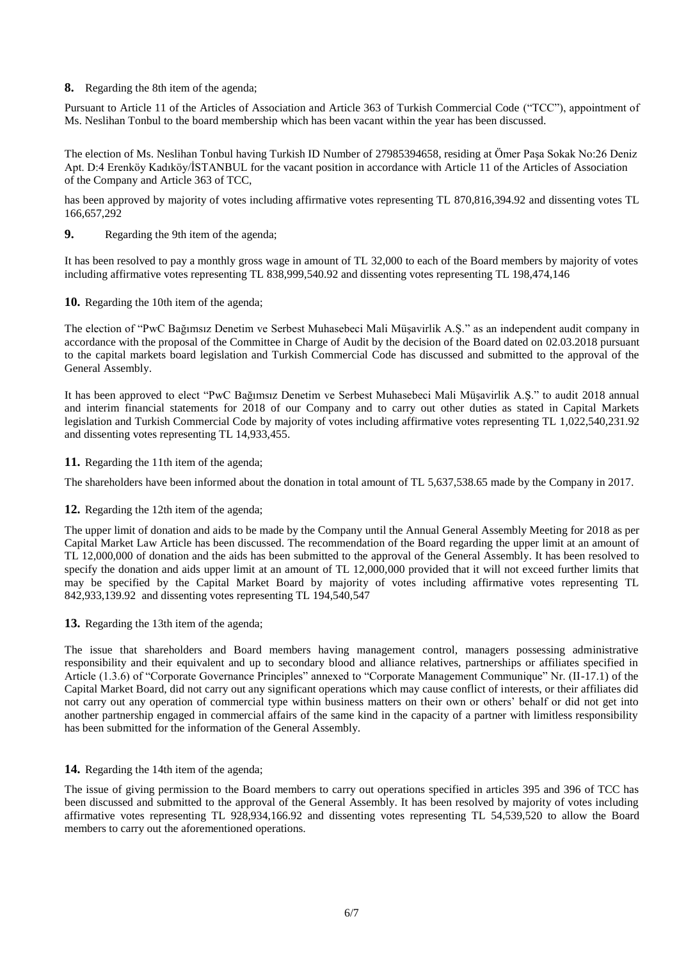**8.** Regarding the 8th item of the agenda;

Pursuant to Article 11 of the Articles of Association and Article 363 of Turkish Commercial Code ("TCC"), appointment of Ms. Neslihan Tonbul to the board membership which has been vacant within the year has been discussed.

The election of Ms. Neslihan Tonbul having Turkish ID Number of 27985394658, residing at Ömer Paşa Sokak No:26 Deniz Apt. D:4 Erenköy Kadıköy/İSTANBUL for the vacant position in accordance with Article 11 of the Articles of Association of the Company and Article 363 of TCC,

has been approved by majority of votes including affirmative votes representing TL 870,816,394.92 and dissenting votes TL 166,657,292

**9.** Regarding the 9th item of the agenda;

It has been resolved to pay a monthly gross wage in amount of TL 32,000 to each of the Board members by majority of votes including affirmative votes representing TL 838,999,540.92 and dissenting votes representing TL 198,474,146

**10.** Regarding the 10th item of the agenda;

The election of "PwC Bağımsız Denetim ve Serbest Muhasebeci Mali Müşavirlik A.Ş." as an independent audit company in accordance with the proposal of the Committee in Charge of Audit by the decision of the Board dated on 02.03.2018 pursuant to the capital markets board legislation and Turkish Commercial Code has discussed and submitted to the approval of the General Assembly.

It has been approved to elect "PwC Bağımsız Denetim ve Serbest Muhasebeci Mali Müşavirlik A.Ş." to audit 2018 annual and interim financial statements for 2018 of our Company and to carry out other duties as stated in Capital Markets legislation and Turkish Commercial Code by majority of votes including affirmative votes representing TL 1,022,540,231.92 and dissenting votes representing TL 14,933,455.

**11.** Regarding the 11th item of the agenda;

The shareholders have been informed about the donation in total amount of TL 5,637,538.65 made by the Company in 2017.

### **12.** Regarding the 12th item of the agenda;

The upper limit of donation and aids to be made by the Company until the Annual General Assembly Meeting for 2018 as per Capital Market Law Article has been discussed. The recommendation of the Board regarding the upper limit at an amount of TL 12,000,000 of donation and the aids has been submitted to the approval of the General Assembly. It has been resolved to specify the donation and aids upper limit at an amount of TL 12,000,000 provided that it will not exceed further limits that may be specified by the Capital Market Board by majority of votes including affirmative votes representing TL 842,933,139.92 and dissenting votes representing TL 194,540,547

**13.** Regarding the 13th item of the agenda;

The issue that shareholders and Board members having management control, managers possessing administrative responsibility and their equivalent and up to secondary blood and alliance relatives, partnerships or affiliates specified in Article (1.3.6) of "Corporate Governance Principles" annexed to "Corporate Management Communique" Nr. (II-17.1) of the Capital Market Board, did not carry out any significant operations which may cause conflict of interests, or their affiliates did not carry out any operation of commercial type within business matters on their own or others' behalf or did not get into another partnership engaged in commercial affairs of the same kind in the capacity of a partner with limitless responsibility has been submitted for the information of the General Assembly.

## **14.** Regarding the 14th item of the agenda;

The issue of giving permission to the Board members to carry out operations specified in articles 395 and 396 of TCC has been discussed and submitted to the approval of the General Assembly. It has been resolved by majority of votes including affirmative votes representing TL 928,934,166.92 and dissenting votes representing TL 54,539,520 to allow the Board members to carry out the aforementioned operations.